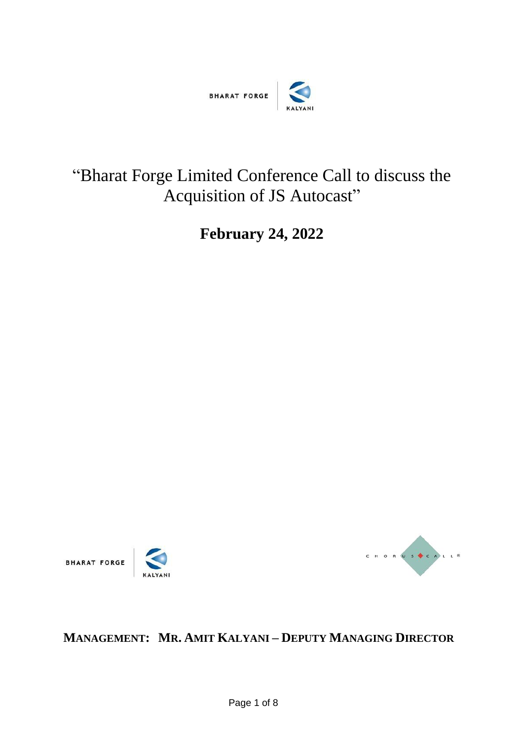

# "Bharat Forge Limited Conference Call to discuss the Acquisition of JS Autocast"

**February 24, 2022**





## **MANAGEMENT: MR. AMIT KALYANI – DEPUTY MANAGING DIRECTOR**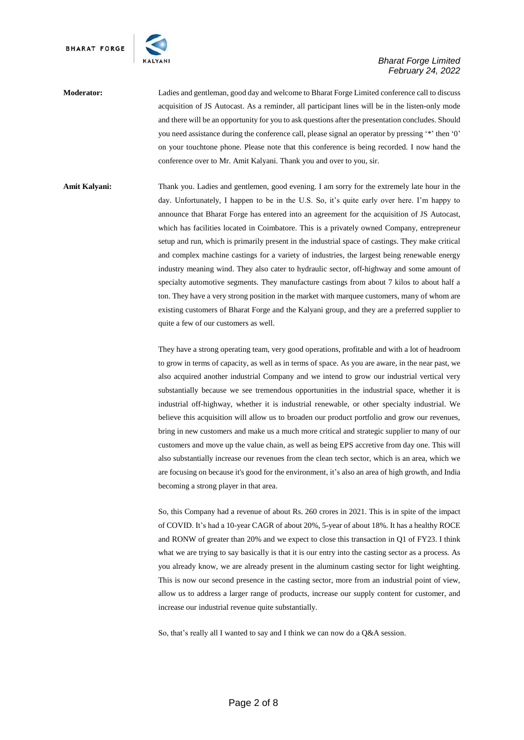

### **Moderator:** Ladies and gentleman, good day and welcome to Bharat Forge Limited conference call to discuss acquisition of JS Autocast. As a reminder, all participant lines will be in the listen-only mode and there will be an opportunity for you to ask questions after the presentation concludes. Should you need assistance during the conference call, please signal an operator by pressing '\*' then '0' on your touchtone phone. Please note that this conference is being recorded. I now hand the conference over to Mr. Amit Kalyani. Thank you and over to you, sir.

**Amit Kalyani:** Thank you. Ladies and gentlemen, good evening. I am sorry for the extremely late hour in the day. Unfortunately, I happen to be in the U.S. So, it's quite early over here. I'm happy to announce that Bharat Forge has entered into an agreement for the acquisition of JS Autocast, which has facilities located in Coimbatore. This is a privately owned Company, entrepreneur setup and run, which is primarily present in the industrial space of castings. They make critical and complex machine castings for a variety of industries, the largest being renewable energy industry meaning wind. They also cater to hydraulic sector, off-highway and some amount of specialty automotive segments. They manufacture castings from about 7 kilos to about half a ton. They have a very strong position in the market with marquee customers, many of whom are existing customers of Bharat Forge and the Kalyani group, and they are a preferred supplier to quite a few of our customers as well.

> They have a strong operating team, very good operations, profitable and with a lot of headroom to grow in terms of capacity, as well as in terms of space. As you are aware, in the near past, we also acquired another industrial Company and we intend to grow our industrial vertical very substantially because we see tremendous opportunities in the industrial space, whether it is industrial off-highway, whether it is industrial renewable, or other specialty industrial. We believe this acquisition will allow us to broaden our product portfolio and grow our revenues, bring in new customers and make us a much more critical and strategic supplier to many of our customers and move up the value chain, as well as being EPS accretive from day one. This will also substantially increase our revenues from the clean tech sector, which is an area, which we are focusing on because it's good for the environment, it's also an area of high growth, and India becoming a strong player in that area.

> So, this Company had a revenue of about Rs. 260 crores in 2021. This is in spite of the impact of COVID. It's had a 10-year CAGR of about 20%, 5-year of about 18%. It has a healthy ROCE and RONW of greater than 20% and we expect to close this transaction in Q1 of FY23. I think what we are trying to say basically is that it is our entry into the casting sector as a process. As you already know, we are already present in the aluminum casting sector for light weighting. This is now our second presence in the casting sector, more from an industrial point of view, allow us to address a larger range of products, increase our supply content for customer, and increase our industrial revenue quite substantially.

So, that's really all I wanted to say and I think we can now do a Q&A session.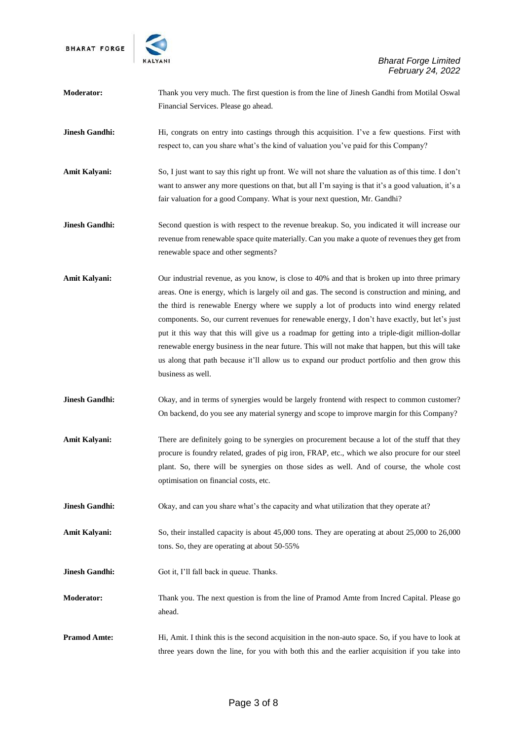

| Moderator:            | Thank you very much. The first question is from the line of Jinesh Gandhi from Motilal Oswal<br>Financial Services. Please go ahead.                                                                                                                                                                                                                                                                                                                                                                                                                                                                                                                                                                                       |
|-----------------------|----------------------------------------------------------------------------------------------------------------------------------------------------------------------------------------------------------------------------------------------------------------------------------------------------------------------------------------------------------------------------------------------------------------------------------------------------------------------------------------------------------------------------------------------------------------------------------------------------------------------------------------------------------------------------------------------------------------------------|
| <b>Jinesh Gandhi:</b> | Hi, congrats on entry into castings through this acquisition. I've a few questions. First with<br>respect to, can you share what's the kind of valuation you've paid for this Company?                                                                                                                                                                                                                                                                                                                                                                                                                                                                                                                                     |
| Amit Kalyani:         | So, I just want to say this right up front. We will not share the valuation as of this time. I don't<br>want to answer any more questions on that, but all I'm saying is that it's a good valuation, it's a<br>fair valuation for a good Company. What is your next question, Mr. Gandhi?                                                                                                                                                                                                                                                                                                                                                                                                                                  |
| <b>Jinesh Gandhi:</b> | Second question is with respect to the revenue breakup. So, you indicated it will increase our<br>revenue from renewable space quite materially. Can you make a quote of revenues they get from<br>renewable space and other segments?                                                                                                                                                                                                                                                                                                                                                                                                                                                                                     |
| <b>Amit Kalyani:</b>  | Our industrial revenue, as you know, is close to 40% and that is broken up into three primary<br>areas. One is energy, which is largely oil and gas. The second is construction and mining, and<br>the third is renewable Energy where we supply a lot of products into wind energy related<br>components. So, our current revenues for renewable energy, I don't have exactly, but let's just<br>put it this way that this will give us a roadmap for getting into a triple-digit million-dollar<br>renewable energy business in the near future. This will not make that happen, but this will take<br>us along that path because it'll allow us to expand our product portfolio and then grow this<br>business as well. |
| <b>Jinesh Gandhi:</b> | Okay, and in terms of synergies would be largely frontend with respect to common customer?<br>On backend, do you see any material synergy and scope to improve margin for this Company?                                                                                                                                                                                                                                                                                                                                                                                                                                                                                                                                    |
| Amit Kalyani:         | There are definitely going to be synergies on procurement because a lot of the stuff that they<br>procure is foundry related, grades of pig iron, FRAP, etc., which we also procure for our steel<br>plant. So, there will be synergies on those sides as well. And of course, the whole cost<br>optimisation on financial costs, etc.                                                                                                                                                                                                                                                                                                                                                                                     |
| <b>Jinesh Gandhi:</b> | Okay, and can you share what's the capacity and what utilization that they operate at?                                                                                                                                                                                                                                                                                                                                                                                                                                                                                                                                                                                                                                     |
| <b>Amit Kalyani:</b>  | So, their installed capacity is about $45,000$ tons. They are operating at about $25,000$ to $26,000$<br>tons. So, they are operating at about 50-55%                                                                                                                                                                                                                                                                                                                                                                                                                                                                                                                                                                      |
| <b>Jinesh Gandhi:</b> | Got it, I'll fall back in queue. Thanks.                                                                                                                                                                                                                                                                                                                                                                                                                                                                                                                                                                                                                                                                                   |
| Moderator:            | Thank you. The next question is from the line of Pramod Amte from Incred Capital. Please go<br>ahead.                                                                                                                                                                                                                                                                                                                                                                                                                                                                                                                                                                                                                      |
| <b>Pramod Amte:</b>   | Hi, Amit. I think this is the second acquisition in the non-auto space. So, if you have to look at<br>three years down the line, for you with both this and the earlier acquisition if you take into                                                                                                                                                                                                                                                                                                                                                                                                                                                                                                                       |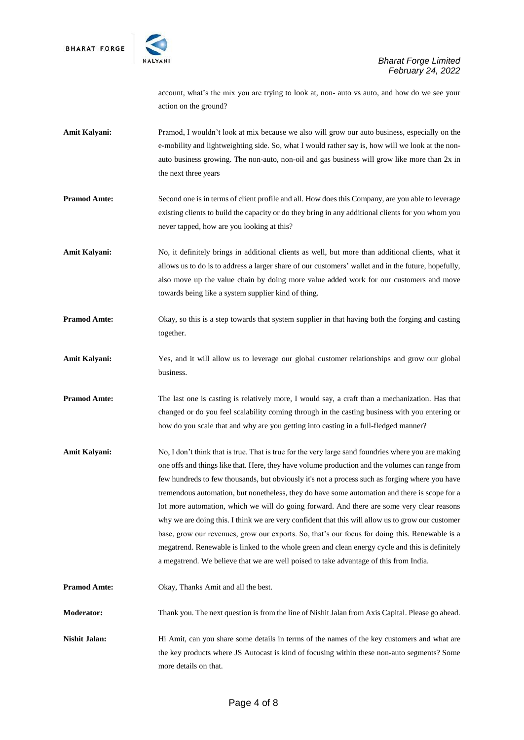

account, what's the mix you are trying to look at, non- auto vs auto, and how do we see your action on the ground?

- **Amit Kalyani:** Pramod, I wouldn't look at mix because we also will grow our auto business, especially on the e-mobility and lightweighting side. So, what I would rather say is, how will we look at the nonauto business growing. The non-auto, non-oil and gas business will grow like more than 2x in the next three years
- **Pramod Amte:** Second one is in terms of client profile and all. How does this Company, are you able to leverage existing clients to build the capacity or do they bring in any additional clients for you whom you never tapped, how are you looking at this?
- Amit Kalyani: No, it definitely brings in additional clients as well, but more than additional clients, what it allows us to do is to address a larger share of our customers' wallet and in the future, hopefully, also move up the value chain by doing more value added work for our customers and move towards being like a system supplier kind of thing.
- **Pramod Amte:** Okay, so this is a step towards that system supplier in that having both the forging and casting together.
- **Amit Kalyani:** Yes, and it will allow us to leverage our global customer relationships and grow our global business.
- **Pramod Amte:** The last one is casting is relatively more, I would say, a craft than a mechanization. Has that changed or do you feel scalability coming through in the casting business with you entering or how do you scale that and why are you getting into casting in a full-fledged manner?
- Amit Kalyani: No, I don't think that is true. That is true for the very large sand foundries where you are making one offs and things like that. Here, they have volume production and the volumes can range from few hundreds to few thousands, but obviously it's not a process such as forging where you have tremendous automation, but nonetheless, they do have some automation and there is scope for a lot more automation, which we will do going forward. And there are some very clear reasons why we are doing this. I think we are very confident that this will allow us to grow our customer base, grow our revenues, grow our exports. So, that's our focus for doing this. Renewable is a megatrend. Renewable is linked to the whole green and clean energy cycle and this is definitely a megatrend. We believe that we are well poised to take advantage of this from India.
- **Pramod Amte:** Okay, Thanks Amit and all the best.

**Moderator:** Thank you. The next question is from the line of Nishit Jalan from Axis Capital. Please go ahead.

**Nishit Jalan:** Hi Amit, can you share some details in terms of the names of the key customers and what are the key products where JS Autocast is kind of focusing within these non-auto segments? Some more details on that.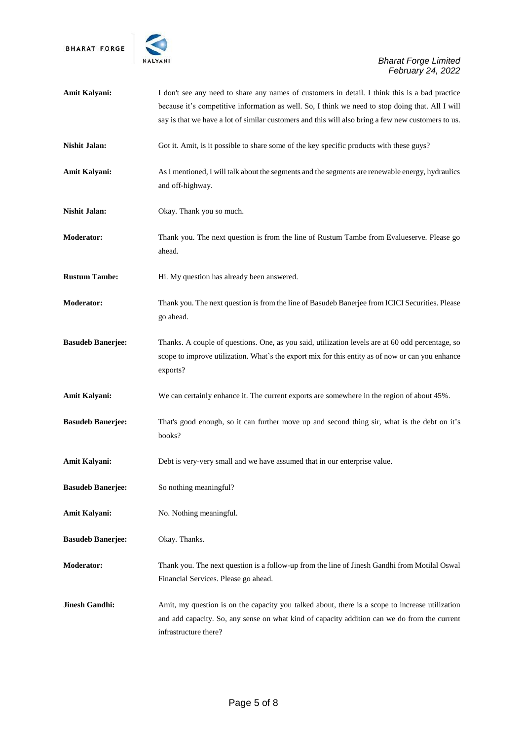

| Amit Kalyani:            | I don't see any need to share any names of customers in detail. I think this is a bad practice<br>because it's competitive information as well. So, I think we need to stop doing that. All I will                       |
|--------------------------|--------------------------------------------------------------------------------------------------------------------------------------------------------------------------------------------------------------------------|
|                          | say is that we have a lot of similar customers and this will also bring a few new customers to us.                                                                                                                       |
| <b>Nishit Jalan:</b>     | Got it. Amit, is it possible to share some of the key specific products with these guys?                                                                                                                                 |
| <b>Amit Kalyani:</b>     | As I mentioned, I will talk about the segments and the segments are renewable energy, hydraulics<br>and off-highway.                                                                                                     |
| <b>Nishit Jalan:</b>     | Okay. Thank you so much.                                                                                                                                                                                                 |
| <b>Moderator:</b>        | Thank you. The next question is from the line of Rustum Tambe from Evalueserve. Please go<br>ahead.                                                                                                                      |
| <b>Rustum Tambe:</b>     | Hi. My question has already been answered.                                                                                                                                                                               |
| <b>Moderator:</b>        | Thank you. The next question is from the line of Basudeb Banerjee from ICICI Securities. Please<br>go ahead.                                                                                                             |
| <b>Basudeb Banerjee:</b> | Thanks. A couple of questions. One, as you said, utilization levels are at 60 odd percentage, so<br>scope to improve utilization. What's the export mix for this entity as of now or can you enhance<br>exports?         |
| <b>Amit Kalyani:</b>     | We can certainly enhance it. The current exports are somewhere in the region of about 45%.                                                                                                                               |
| <b>Basudeb Banerjee:</b> | That's good enough, so it can further move up and second thing sir, what is the debt on it's<br>books?                                                                                                                   |
| <b>Amit Kalyani:</b>     | Debt is very-very small and we have assumed that in our enterprise value.                                                                                                                                                |
| <b>Basudeb Banerjee:</b> | So nothing meaningful?                                                                                                                                                                                                   |
| <b>Amit Kalyani:</b>     | No. Nothing meaningful.                                                                                                                                                                                                  |
| <b>Basudeb Banerjee:</b> | Okay. Thanks.                                                                                                                                                                                                            |
| <b>Moderator:</b>        | Thank you. The next question is a follow-up from the line of Jinesh Gandhi from Motilal Oswal<br>Financial Services. Please go ahead.                                                                                    |
| <b>Jinesh Gandhi:</b>    | Amit, my question is on the capacity you talked about, there is a scope to increase utilization<br>and add capacity. So, any sense on what kind of capacity addition can we do from the current<br>infrastructure there? |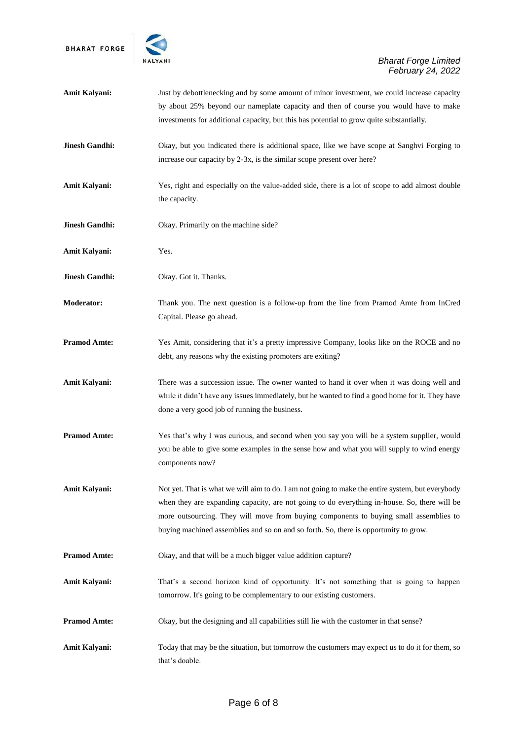

| <b>Amit Kalyani:</b>  | Just by debottlenecking and by some amount of minor investment, we could increase capacity<br>by about 25% beyond our nameplate capacity and then of course you would have to make<br>investments for additional capacity, but this has potential to grow quite substantially.                                                                                                    |
|-----------------------|-----------------------------------------------------------------------------------------------------------------------------------------------------------------------------------------------------------------------------------------------------------------------------------------------------------------------------------------------------------------------------------|
| <b>Jinesh Gandhi:</b> | Okay, but you indicated there is additional space, like we have scope at Sanghvi Forging to<br>increase our capacity by 2-3x, is the similar scope present over here?                                                                                                                                                                                                             |
| <b>Amit Kalyani:</b>  | Yes, right and especially on the value-added side, there is a lot of scope to add almost double<br>the capacity.                                                                                                                                                                                                                                                                  |
| <b>Jinesh Gandhi:</b> | Okay. Primarily on the machine side?                                                                                                                                                                                                                                                                                                                                              |
| <b>Amit Kalyani:</b>  | Yes.                                                                                                                                                                                                                                                                                                                                                                              |
| <b>Jinesh Gandhi:</b> | Okay. Got it. Thanks.                                                                                                                                                                                                                                                                                                                                                             |
| <b>Moderator:</b>     | Thank you. The next question is a follow-up from the line from Pramod Amte from InCred<br>Capital. Please go ahead.                                                                                                                                                                                                                                                               |
| <b>Pramod Amte:</b>   | Yes Amit, considering that it's a pretty impressive Company, looks like on the ROCE and no<br>debt, any reasons why the existing promoters are exiting?                                                                                                                                                                                                                           |
| <b>Amit Kalyani:</b>  | There was a succession issue. The owner wanted to hand it over when it was doing well and<br>while it didn't have any issues immediately, but he wanted to find a good home for it. They have<br>done a very good job of running the business.                                                                                                                                    |
| <b>Pramod Amte:</b>   | Yes that's why I was curious, and second when you say you will be a system supplier, would<br>you be able to give some examples in the sense how and what you will supply to wind energy<br>components now?                                                                                                                                                                       |
| <b>Amit Kalyani:</b>  | Not yet. That is what we will aim to do. I am not going to make the entire system, but everybody<br>when they are expanding capacity, are not going to do everything in-house. So, there will be<br>more outsourcing. They will move from buying components to buying small assemblies to<br>buying machined assemblies and so on and so forth. So, there is opportunity to grow. |
| <b>Pramod Amte:</b>   | Okay, and that will be a much bigger value addition capture?                                                                                                                                                                                                                                                                                                                      |
| <b>Amit Kalyani:</b>  | That's a second horizon kind of opportunity. It's not something that is going to happen<br>tomorrow. It's going to be complementary to our existing customers.                                                                                                                                                                                                                    |
| <b>Pramod Amte:</b>   | Okay, but the designing and all capabilities still lie with the customer in that sense?                                                                                                                                                                                                                                                                                           |
| Amit Kalyani:         | Today that may be the situation, but tomorrow the customers may expect us to do it for them, so<br>that's doable.                                                                                                                                                                                                                                                                 |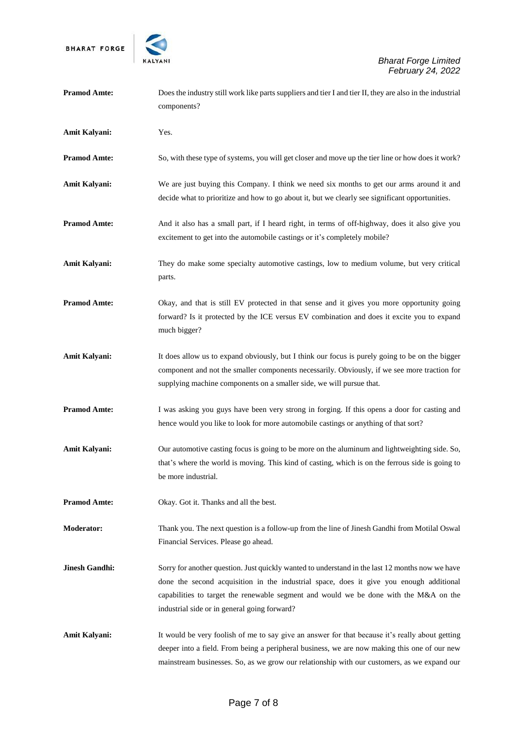

| <b>Pramod Amte:</b>   | Does the industry still work like parts suppliers and tier I and tier II, they are also in the industrial<br>components?                                                                                                                                                                                                            |
|-----------------------|-------------------------------------------------------------------------------------------------------------------------------------------------------------------------------------------------------------------------------------------------------------------------------------------------------------------------------------|
| Amit Kalyani:         | Yes.                                                                                                                                                                                                                                                                                                                                |
| <b>Pramod Amte:</b>   | So, with these type of systems, you will get closer and move up the tier line or how does it work?                                                                                                                                                                                                                                  |
| Amit Kalyani:         | We are just buying this Company. I think we need six months to get our arms around it and<br>decide what to prioritize and how to go about it, but we clearly see significant opportunities.                                                                                                                                        |
| <b>Pramod Amte:</b>   | And it also has a small part, if I heard right, in terms of off-highway, does it also give you<br>excitement to get into the automobile castings or it's completely mobile?                                                                                                                                                         |
| Amit Kalyani:         | They do make some specialty automotive castings, low to medium volume, but very critical<br>parts.                                                                                                                                                                                                                                  |
| <b>Pramod Amte:</b>   | Okay, and that is still EV protected in that sense and it gives you more opportunity going<br>forward? Is it protected by the ICE versus EV combination and does it excite you to expand<br>much bigger?                                                                                                                            |
| Amit Kalyani:         | It does allow us to expand obviously, but I think our focus is purely going to be on the bigger<br>component and not the smaller components necessarily. Obviously, if we see more traction for<br>supplying machine components on a smaller side, we will pursue that.                                                             |
| <b>Pramod Amte:</b>   | I was asking you guys have been very strong in forging. If this opens a door for casting and<br>hence would you like to look for more automobile castings or anything of that sort?                                                                                                                                                 |
| Amit Kalyani:         | Our automotive casting focus is going to be more on the aluminum and lightweighting side. So,<br>that's where the world is moving. This kind of casting, which is on the ferrous side is going to<br>be more industrial.                                                                                                            |
| <b>Pramod Amte:</b>   | Okay. Got it. Thanks and all the best.                                                                                                                                                                                                                                                                                              |
| <b>Moderator:</b>     | Thank you. The next question is a follow-up from the line of Jinesh Gandhi from Motilal Oswal<br>Financial Services. Please go ahead.                                                                                                                                                                                               |
| <b>Jinesh Gandhi:</b> | Sorry for another question. Just quickly wanted to understand in the last 12 months now we have<br>done the second acquisition in the industrial space, does it give you enough additional<br>capabilities to target the renewable segment and would we be done with the M&A on the<br>industrial side or in general going forward? |
| <b>Amit Kalyani:</b>  | It would be very foolish of me to say give an answer for that because it's really about getting<br>deeper into a field. From being a peripheral business, we are now making this one of our new<br>mainstream businesses. So, as we grow our relationship with our customers, as we expand our                                      |